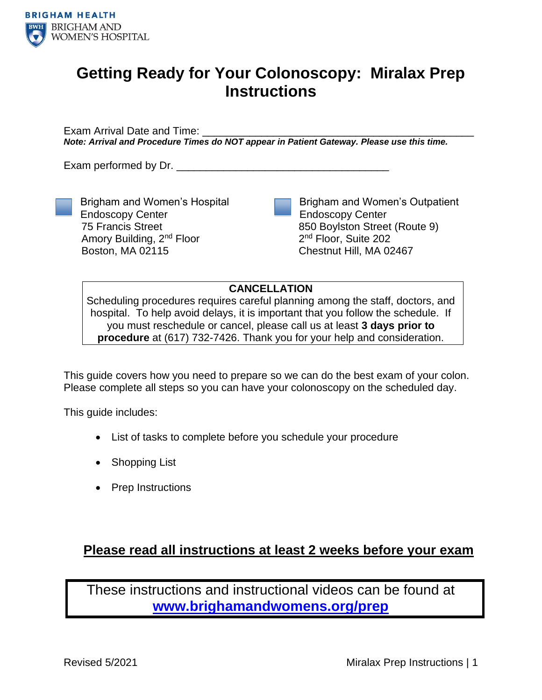

# **Getting Ready for Your Colonoscopy: Miralax Prep Instructions**

Exam Arrival Date and Time: *Note: Arrival and Procedure Times do NOT appear in Patient Gateway. Please use this time.*

Exam performed by Dr.

Endoscopy Center 75 Francis Street

Boston, MA 02115

Brigham and Women's Hospital

Amory Building, 2nd Floor

Brigham and Women's Outpatient Endoscopy Center 850 Boylston Street (Route 9) 2<sup>nd</sup> Floor, Suite 202 Chestnut Hill, MA 02467

**CANCELLATION**

Scheduling procedures requires careful planning among the staff, doctors, and hospital. To help avoid delays, it is important that you follow the schedule. If you must reschedule or cancel, please call us at least **3 days prior to procedure** at (617) 732-7426. Thank you for your help and consideration.

This guide covers how you need to prepare so we can do the best exam of your colon. Please complete all steps so you can have your colonoscopy on the scheduled day.

This guide includes:

- List of tasks to complete before you schedule your procedure
- Shopping List
- Prep Instructions

### **Please read all instructions at least 2 weeks before your exam**

These instructions and instructional videos can be found at **[www.brighamandwomens.org/prep](http://www.brighamandwomens.org/prep)**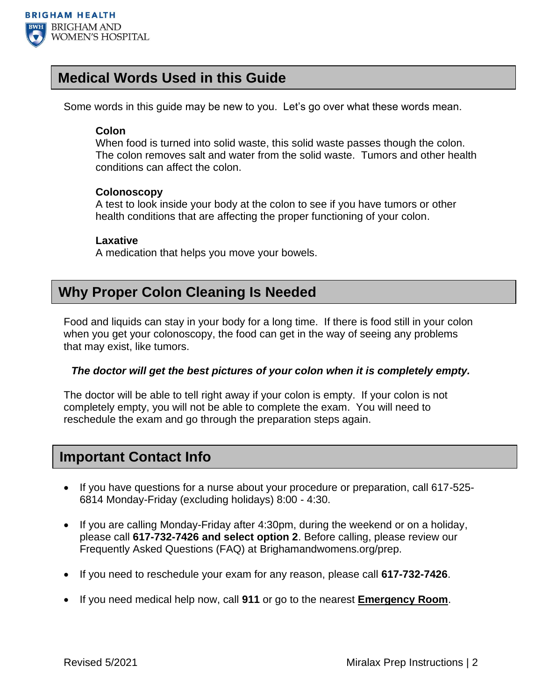

### **Medical Words Used in this Guide**

Some words in this guide may be new to you. Let's go over what these words mean.

### **Colon**

When food is turned into solid waste, this solid waste passes though the colon. The colon removes salt and water from the solid waste. Tumors and other health conditions can affect the colon.

### **Colonoscopy**

A test to look inside your body at the colon to see if you have tumors or other health conditions that are affecting the proper functioning of your colon.

### **Laxative**

A medication that helps you move your bowels.

## **Why Proper Colon Cleaning Is Needed**

Food and liquids can stay in your body for a long time. If there is food still in your colon when you get your colonoscopy, the food can get in the way of seeing any problems that may exist, like tumors.

### *The doctor will get the best pictures of your colon when it is completely empty.*

The doctor will be able to tell right away if your colon is empty. If your colon is not completely empty, you will not be able to complete the exam. You will need to reschedule the exam and go through the preparation steps again.

### **Important Contact Info**

- If you have questions for a nurse about your procedure or preparation, call 617-525- 6814 Monday-Friday (excluding holidays) 8:00 - 4:30.
- If you are calling Monday-Friday after 4:30pm, during the weekend or on a holiday, please call **617-732-7426 and select option 2**. Before calling, please review our Frequently Asked Questions (FAQ) at Brighamandwomens.org/prep.
- If you need to reschedule your exam for any reason, please call **617-732-7426**.
- If you need medical help now, call **911** or go to the nearest **Emergency Room**.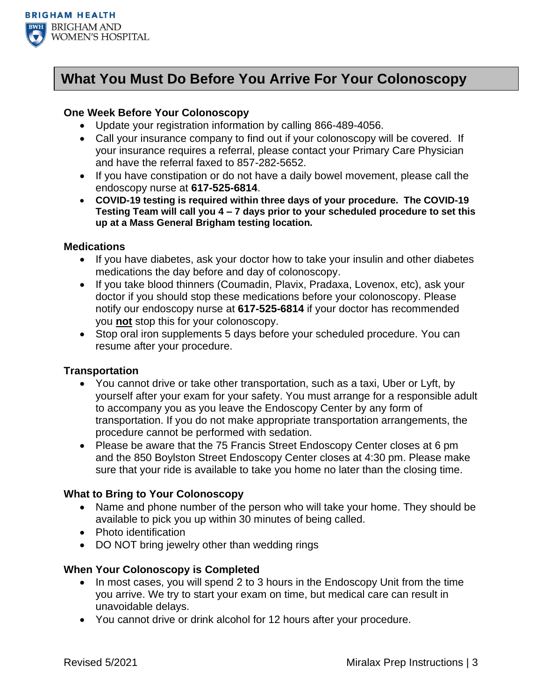

## **What You Must Do Before You Arrive For Your Colonoscopy**

### **One Week Before Your Colonoscopy**

- Update your registration information by calling 866-489-4056.
- Call your insurance company to find out if your colonoscopy will be covered. If your insurance requires a referral, please contact your Primary Care Physician and have the referral faxed to 857-282-5652.
- If you have constipation or do not have a daily bowel movement, please call the endoscopy nurse at **617-525-6814**.
- **COVID-19 testing is required within three days of your procedure. The COVID-19 Testing Team will call you 4 – 7 days prior to your scheduled procedure to set this up at a Mass General Brigham testing location.**

### **Medications**

- If you have diabetes, ask your doctor how to take your insulin and other diabetes medications the day before and day of colonoscopy.
- If you take blood thinners (Coumadin, Plavix, Pradaxa, Lovenox, etc), ask your doctor if you should stop these medications before your colonoscopy. Please notify our endoscopy nurse at **617-525-6814** if your doctor has recommended you **not** stop this for your colonoscopy.
- Stop oral iron supplements 5 days before your scheduled procedure. You can resume after your procedure.

### **Transportation**

- You cannot drive or take other transportation, such as a taxi, Uber or Lyft, by yourself after your exam for your safety. You must arrange for a responsible adult to accompany you as you leave the Endoscopy Center by any form of transportation. If you do not make appropriate transportation arrangements, the procedure cannot be performed with sedation.
- Please be aware that the 75 Francis Street Endoscopy Center closes at 6 pm and the 850 Boylston Street Endoscopy Center closes at 4:30 pm. Please make sure that your ride is available to take you home no later than the closing time.

### **What to Bring to Your Colonoscopy**

- Name and phone number of the person who will take your home. They should be available to pick you up within 30 minutes of being called.
- Photo identification
- DO NOT bring jewelry other than wedding rings

### **When Your Colonoscopy is Completed**

- In most cases, you will spend 2 to 3 hours in the Endoscopy Unit from the time you arrive. We try to start your exam on time, but medical care can result in unavoidable delays.
- You cannot drive or drink alcohol for 12 hours after your procedure.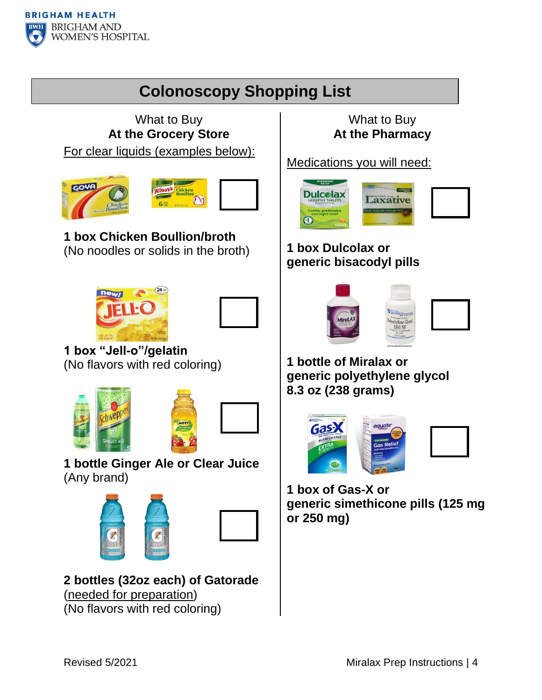# **Colonoscopy Shopping List**

What to Buy **At the Grocery Store** For clear liquids (examples below):





## **1 box Chicken Boullion/broth** (No noodles or solids in the broth)





**1 box "Jell-o"/gelatin** (No flavors with red coloring)





**1 bottle Ginger Ale or Clear Juice**  (Any brand)





**2 bottles (32oz each) of Gatorade**  (needed for preparation) (No flavors with red coloring)

### What to Buy **At the Pharmacy**

Medications you will need:



# **1 box Dulcolax or generic bisacodyl pills**



**1 bottle of Miralax or generic polyethylene glycol 8.3 oz (238 grams)**



**1 box of Gas-X or generic simethicone pills (125 mg or 250 mg)**